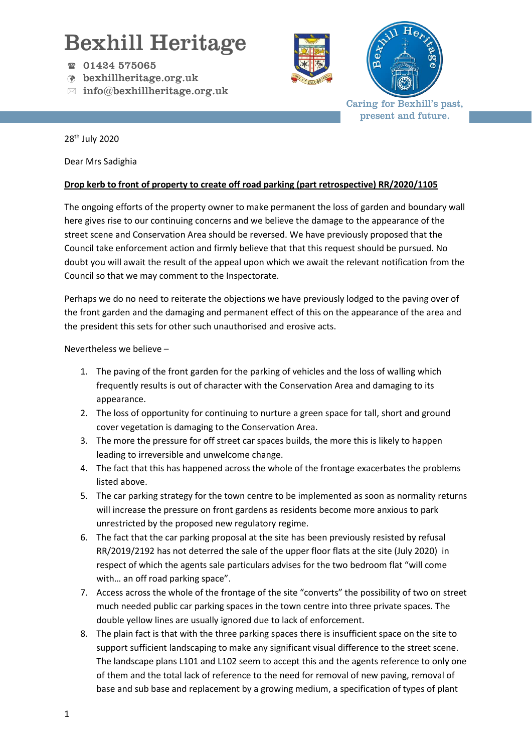## Bexhill Heritage

- 01424 575065
- bexhillheritage.org.uk
- $\boxtimes$  info@bexhillheritage.org.uk





Caring for Bexhill's past, present and future.

28th July 2020

Dear Mrs Sadighia

## **Drop kerb to front of property to create off road parking (part retrospective) RR/2020/1105**

The ongoing efforts of the property owner to make permanent the loss of garden and boundary wall here gives rise to our continuing concerns and we believe the damage to the appearance of the street scene and Conservation Area should be reversed. We have previously proposed that the Council take enforcement action and firmly believe that that this request should be pursued. No doubt you will await the result of the appeal upon which we await the relevant notification from the Council so that we may comment to the Inspectorate.

Perhaps we do no need to reiterate the objections we have previously lodged to the paving over of the front garden and the damaging and permanent effect of this on the appearance of the area and the president this sets for other such unauthorised and erosive acts.

Nevertheless we believe –

- 1. The paving of the front garden for the parking of vehicles and the loss of walling which frequently results is out of character with the Conservation Area and damaging to its appearance.
- 2. The loss of opportunity for continuing to nurture a green space for tall, short and ground cover vegetation is damaging to the Conservation Area.
- 3. The more the pressure for off street car spaces builds, the more this is likely to happen leading to irreversible and unwelcome change.
- 4. The fact that this has happened across the whole of the frontage exacerbates the problems listed above.
- 5. The car parking strategy for the town centre to be implemented as soon as normality returns will increase the pressure on front gardens as residents become more anxious to park unrestricted by the proposed new regulatory regime.
- 6. The fact that the car parking proposal at the site has been previously resisted by refusal RR/2019/2192 has not deterred the sale of the upper floor flats at the site (July 2020) in respect of which the agents sale particulars advises for the two bedroom flat "will come with… an off road parking space".
- 7. Access across the whole of the frontage of the site "converts" the possibility of two on street much needed public car parking spaces in the town centre into three private spaces. The double yellow lines are usually ignored due to lack of enforcement.
- 8. The plain fact is that with the three parking spaces there is insufficient space on the site to support sufficient landscaping to make any significant visual difference to the street scene. The landscape plans L101 and L102 seem to accept this and the agents reference to only one of them and the total lack of reference to the need for removal of new paving, removal of base and sub base and replacement by a growing medium, a specification of types of plant